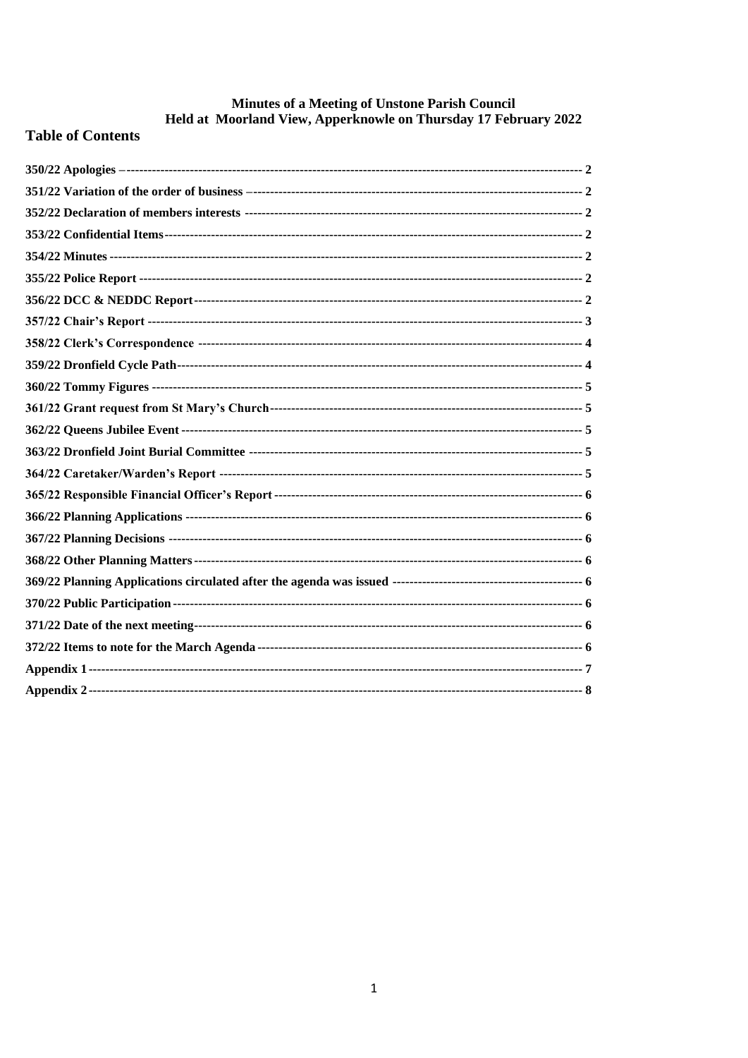# **Minutes of a Meeting of Unstone Parish Council<br>Held at Moorland View, Apperknowle on Thursday 17 February 2022**

## **Table of Contents**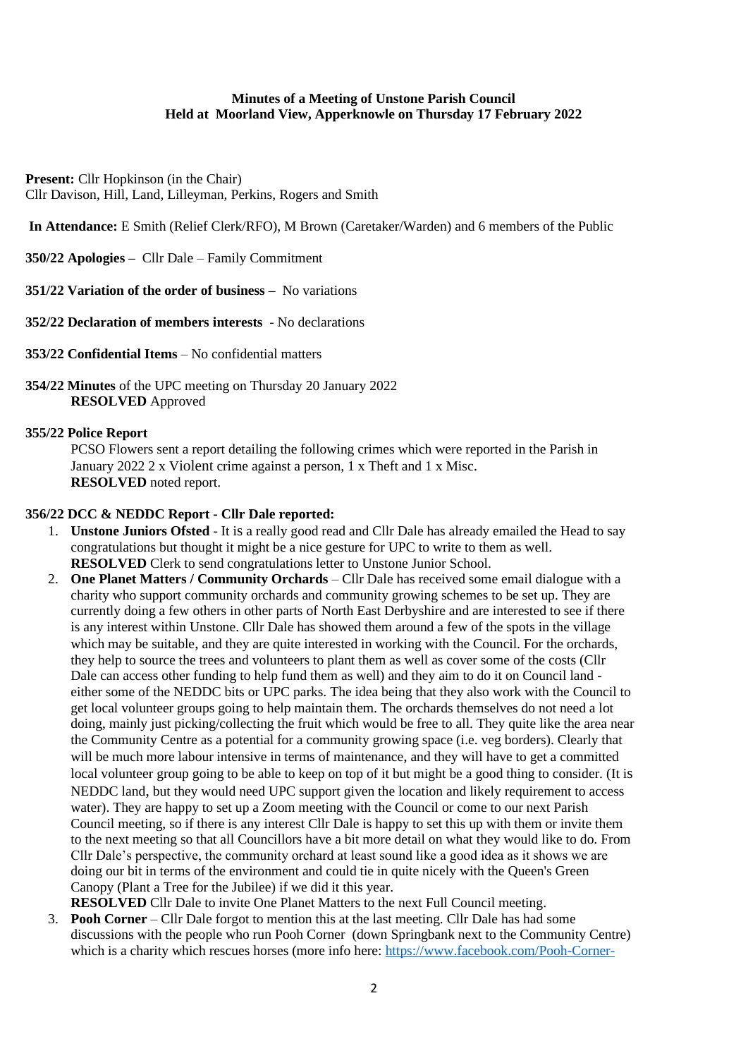#### **Minutes of a Meeting of Unstone Parish Council Held at Moorland View, Apperknowle on Thursday 17 February 2022**

**Present:** Cllr Hopkinson (in the Chair) Cllr Davison, Hill, Land, Lilleyman, Perkins, Rogers and Smith

**In Attendance:** E Smith (Relief Clerk/RFO), M Brown (Caretaker/Warden) and 6 members of the Public

<span id="page-1-0"></span>**350/22 Apologies –** Cllr Dale – Family Commitment

<span id="page-1-1"></span>**351/22 Variation of the order of business –** No variations

<span id="page-1-2"></span>**352/22 Declaration of members interests** - No declarations

- <span id="page-1-3"></span>**353/22 Confidential Items** – No confidential matters
- <span id="page-1-4"></span>**354/22 Minutes** of the UPC meeting on Thursday 20 January 2022 **RESOLVED** Approved

#### <span id="page-1-5"></span>**355/22 Police Report**

PCSO Flowers sent a report detailing the following crimes which were reported in the Parish in January 2022 2 x Violent crime against a person, 1 x Theft and 1 x Misc. **RESOLVED** noted report.

#### <span id="page-1-6"></span>**356/22 DCC & NEDDC Report - Cllr Dale reported:**

- 1. **Unstone Juniors Ofsted** It is a really good read and Cllr Dale has already emailed the Head to say congratulations but thought it might be a nice gesture for UPC to write to them as well. **RESOLVED** Clerk to send congratulations letter to Unstone Junior School.
- 2. **One Planet Matters / Community Orchards** Cllr Dale has received some email dialogue with a charity who support community orchards and community growing schemes to be set up. They are currently doing a few others in other parts of North East Derbyshire and are interested to see if there is any interest within Unstone. Cllr Dale has showed them around a few of the spots in the village which may be suitable, and they are quite interested in working with the Council. For the orchards, they help to source the trees and volunteers to plant them as well as cover some of the costs (Cllr Dale can access other funding to help fund them as well) and they aim to do it on Council land either some of the NEDDC bits or UPC parks. The idea being that they also work with the Council to get local volunteer groups going to help maintain them. The orchards themselves do not need a lot doing, mainly just picking/collecting the fruit which would be free to all. They quite like the area near the Community Centre as a potential for a community growing space (i.e. veg borders). Clearly that will be much more labour intensive in terms of maintenance, and they will have to get a committed local volunteer group going to be able to keep on top of it but might be a good thing to consider. (It is NEDDC land, but they would need UPC support given the location and likely requirement to access water). They are happy to set up a Zoom meeting with the Council or come to our next Parish Council meeting, so if there is any interest Cllr Dale is happy to set this up with them or invite them to the next meeting so that all Councillors have a bit more detail on what they would like to do. From Cllr Dale's perspective, the community orchard at least sound like a good idea as it shows we are doing our bit in terms of the environment and could tie in quite nicely with the Queen's Green Canopy (Plant a Tree for the Jubilee) if we did it this year. **RESOLVED** Cllr Dale to invite One Planet Matters to the next Full Council meeting.

3. **Pooh Corner** – Cllr Dale forgot to mention this at the last meeting. Cllr Dale has had some discussions with the people who run Pooh Corner (down Springbank next to the Community Centre) which is a charity which rescues horses (more info here: [https://www.facebook.com/Pooh-Corner-](https://www.facebook.com/Pooh-Corner-1000121336819366/about/)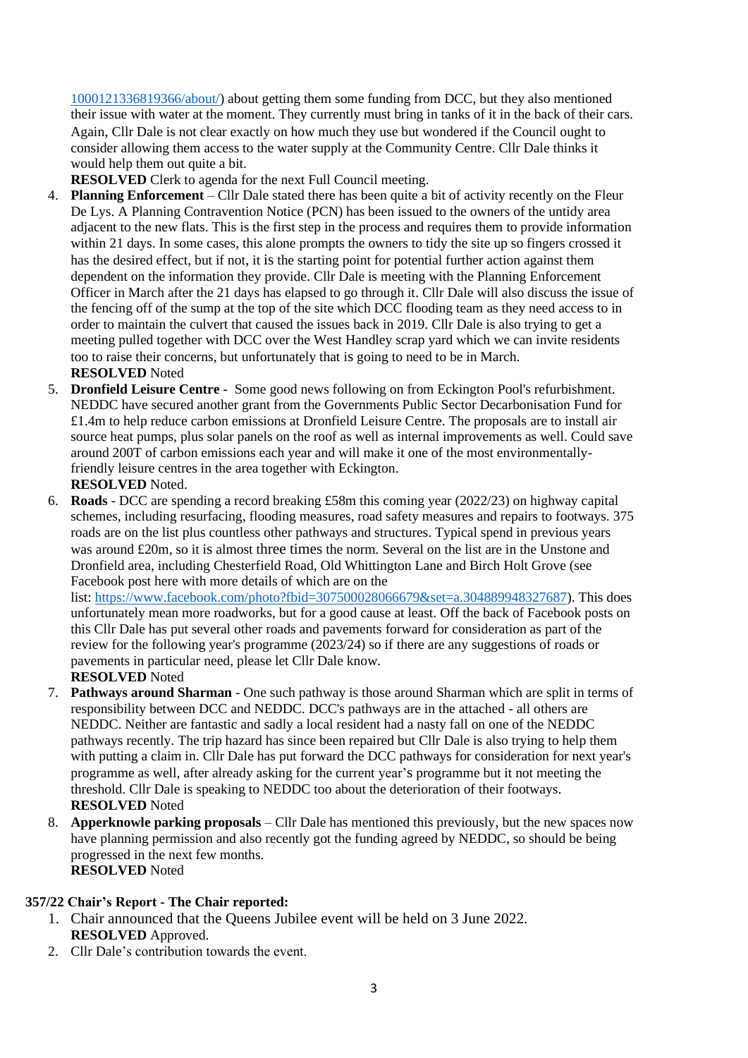[1000121336819366/about/\)](https://www.facebook.com/Pooh-Corner-1000121336819366/about/) about getting them some funding from DCC, but they also mentioned their issue with water at the moment. They currently must bring in tanks of it in the back of their cars. Again, Cllr Dale is not clear exactly on how much they use but wondered if the Council ought to consider allowing them access to the water supply at the Community Centre. Cllr Dale thinks it would help them out quite a bit.

**RESOLVED** Clerk to agenda for the next Full Council meeting.

- 4. **Planning Enforcement** Cllr Dale stated there has been quite a bit of activity recently on the Fleur De Lys. A Planning Contravention Notice (PCN) has been issued to the owners of the untidy area adjacent to the new flats. This is the first step in the process and requires them to provide information within 21 days. In some cases, this alone prompts the owners to tidy the site up so fingers crossed it has the desired effect, but if not, it is the starting point for potential further action against them dependent on the information they provide. Cllr Dale is meeting with the Planning Enforcement Officer in March after the 21 days has elapsed to go through it. Cllr Dale will also discuss the issue of the fencing off of the sump at the top of the site which DCC flooding team as they need access to in order to maintain the culvert that caused the issues back in 2019. Cllr Dale is also trying to get a meeting pulled together with DCC over the West Handley scrap yard which we can invite residents too to raise their concerns, but unfortunately that is going to need to be in March. **RESOLVED** Noted
- 5. **Dronfield Leisure Centre** Some good news following on from Eckington Pool's refurbishment. NEDDC have secured another grant from the Governments Public Sector Decarbonisation Fund for £1.4m to help reduce carbon emissions at Dronfield Leisure Centre. The proposals are to install air source heat pumps, plus solar panels on the roof as well as internal improvements as well. Could save around 200T of carbon emissions each year and will make it one of the most environmentallyfriendly leisure centres in the area together with Eckington.

**RESOLVED** Noted.

6. **Roads** - DCC are spending a record breaking £58m this coming year (2022/23) on highway capital schemes, including resurfacing, flooding measures, road safety measures and repairs to footways. 375 roads are on the list plus countless other pathways and structures. Typical spend in previous years was around £20m, so it is almost three times the norm. Several on the list are in the Unstone and Dronfield area, including Chesterfield Road, Old Whittington Lane and Birch Holt Grove (see Facebook post here with more details of which are on the

list: [https://www.facebook.com/photo?fbid=307500028066679&set=a.304889948327687\)](https://www.facebook.com/photo?fbid=307500028066679&set=a.304889948327687). This does unfortunately mean more roadworks, but for a good cause at least. Off the back of Facebook posts on this Cllr Dale has put several other roads and pavements forward for consideration as part of the review for the following year's programme (2023/24) so if there are any suggestions of roads or pavements in particular need, please let Cllr Dale know.

- **RESOLVED** Noted 7. **Pathways around Sharman** - One such pathway is those around Sharman which are split in terms of responsibility between DCC and NEDDC. DCC's pathways are in the attached - all others are NEDDC. Neither are fantastic and sadly a local resident had a nasty fall on one of the NEDDC pathways recently. The trip hazard has since been repaired but Cllr Dale is also trying to help them with putting a claim in. Cllr Dale has put forward the DCC pathways for consideration for next year's
	- programme as well, after already asking for the current year's programme but it not meeting the threshold. Cllr Dale is speaking to NEDDC too about the deterioration of their footways. **RESOLVED** Noted
- 8. **Apperknowle parking proposals**  Cllr Dale has mentioned this previously, but the new spaces now have planning permission and also recently got the funding agreed by NEDDC, so should be being progressed in the next few months. **RESOLVED** Noted

### <span id="page-2-0"></span>**357/22 Chair's Report - The Chair reported:**

- 1. Chair announced that the Queens Jubilee event will be held on 3 June 2022. **RESOLVED** Approved.
- 2. Cllr Dale's contribution towards the event.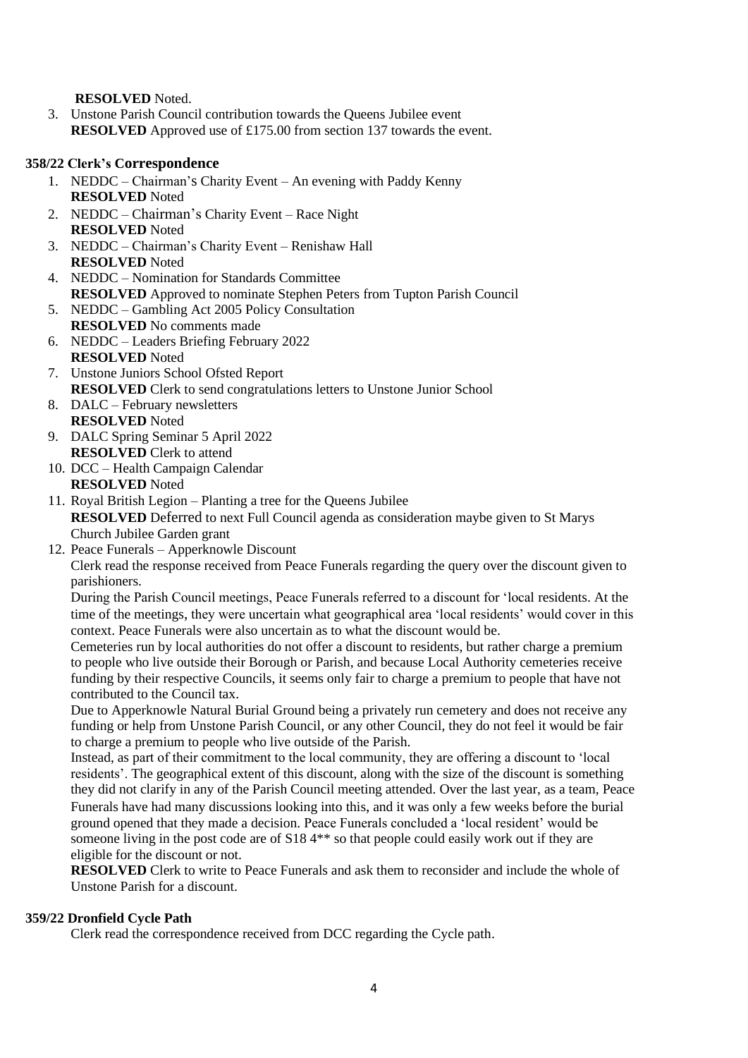**RESOLVED** Noted.

3. Unstone Parish Council contribution towards the Queens Jubilee event **RESOLVED** Approved use of £175.00 from section 137 towards the event.

#### <span id="page-3-0"></span>**358/22 Clerk's Correspondence**

- 1. NEDDC Chairman's Charity Event An evening with Paddy Kenny **RESOLVED** Noted
- 2. NEDDC Chairman's Charity Event Race Night **RESOLVED** Noted
- 3. NEDDC Chairman's Charity Event Renishaw Hall **RESOLVED** Noted
- 4. NEDDC Nomination for Standards Committee **RESOLVED** Approved to nominate Stephen Peters from Tupton Parish Council
- 5. NEDDC Gambling Act 2005 Policy Consultation **RESOLVED** No comments made
- 6. NEDDC Leaders Briefing February 2022 **RESOLVED** Noted
- 7. Unstone Juniors School Ofsted Report **RESOLVED** Clerk to send congratulations letters to Unstone Junior School
- 8. DALC February newsletters **RESOLVED** Noted
- 9. DALC Spring Seminar 5 April 2022 **RESOLVED** Clerk to attend
- 10. DCC Health Campaign Calendar **RESOLVED** Noted
- 11. Royal British Legion Planting a tree for the Queens Jubilee **RESOLVED** Deferred to next Full Council agenda as consideration maybe given to St Marys Church Jubilee Garden grant
- 12. Peace Funerals Apperknowle Discount

Clerk read the response received from Peace Funerals regarding the query over the discount given to parishioners.

During the Parish Council meetings, Peace Funerals referred to a discount for 'local residents. At the time of the meetings, they were uncertain what geographical area 'local residents' would cover in this context. Peace Funerals were also uncertain as to what the discount would be.

Cemeteries run by local authorities do not offer a discount to residents, but rather charge a premium to people who live outside their Borough or Parish, and because Local Authority cemeteries receive funding by their respective Councils, it seems only fair to charge a premium to people that have not contributed to the Council tax.

Due to Apperknowle Natural Burial Ground being a privately run cemetery and does not receive any funding or help from Unstone Parish Council, or any other Council, they do not feel it would be fair to charge a premium to people who live outside of the Parish.

Instead, as part of their commitment to the local community, they are offering a discount to 'local residents'. The geographical extent of this discount, along with the size of the discount is something they did not clarify in any of the Parish Council meeting attended. Over the last year, as a team, Peace Funerals have had many discussions looking into this, and it was only a few weeks before the burial ground opened that they made a decision. Peace Funerals concluded a 'local resident' would be someone living in the post code are of S18 4\*\* so that people could easily work out if they are eligible for the discount or not.

**RESOLVED** Clerk to write to Peace Funerals and ask them to reconsider and include the whole of Unstone Parish for a discount.

### <span id="page-3-1"></span>**359/22 Dronfield Cycle Path**

Clerk read the correspondence received from DCC regarding the Cycle path.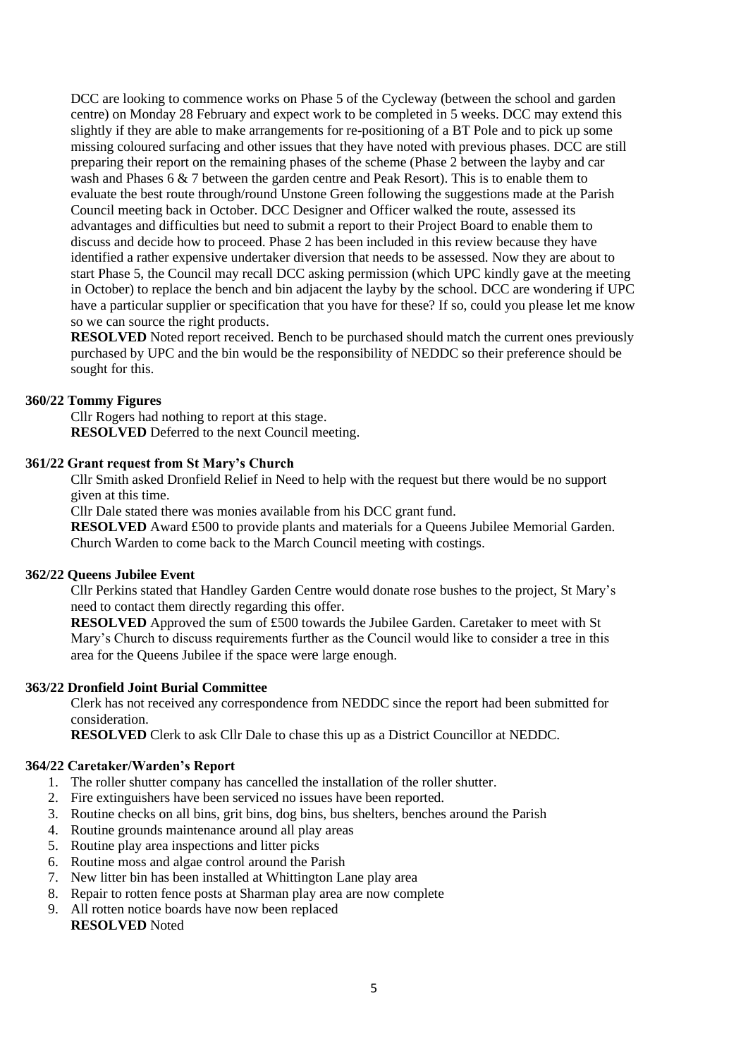DCC are looking to commence works on Phase 5 of the Cycleway (between the school and garden centre) on Monday 28 February and expect work to be completed in 5 weeks. DCC may extend this slightly if they are able to make arrangements for re-positioning of a BT Pole and to pick up some missing coloured surfacing and other issues that they have noted with previous phases. DCC are still preparing their report on the remaining phases of the scheme (Phase 2 between the layby and car wash and Phases 6 & 7 between the garden centre and Peak Resort). This is to enable them to evaluate the best route through/round Unstone Green following the suggestions made at the Parish Council meeting back in October. DCC Designer and Officer walked the route, assessed its advantages and difficulties but need to submit a report to their Project Board to enable them to discuss and decide how to proceed. Phase 2 has been included in this review because they have identified a rather expensive undertaker diversion that needs to be assessed. Now they are about to start Phase 5, the Council may recall DCC asking permission (which UPC kindly gave at the meeting in October) to replace the bench and bin adjacent the layby by the school. DCC are wondering if UPC have a particular supplier or specification that you have for these? If so, could you please let me know so we can source the right products.

**RESOLVED** Noted report received. Bench to be purchased should match the current ones previously purchased by UPC and the bin would be the responsibility of NEDDC so their preference should be sought for this.

#### <span id="page-4-0"></span>**360/22 Tommy Figures**

Cllr Rogers had nothing to report at this stage. **RESOLVED** Deferred to the next Council meeting.

#### <span id="page-4-1"></span>**361/22 Grant request from St Mary's Church**

Cllr Smith asked Dronfield Relief in Need to help with the request but there would be no support given at this time.

Cllr Dale stated there was monies available from his DCC grant fund.

**RESOLVED** Award £500 to provide plants and materials for a Queens Jubilee Memorial Garden. Church Warden to come back to the March Council meeting with costings.

#### <span id="page-4-2"></span>**362/22 Queens Jubilee Event**

Cllr Perkins stated that Handley Garden Centre would donate rose bushes to the project, St Mary's need to contact them directly regarding this offer.

**RESOLVED** Approved the sum of £500 towards the Jubilee Garden. Caretaker to meet with St Mary's Church to discuss requirements further as the Council would like to consider a tree in this area for the Queens Jubilee if the space were large enough.

#### <span id="page-4-3"></span>**363/22 Dronfield Joint Burial Committee**

Clerk has not received any correspondence from NEDDC since the report had been submitted for consideration.

**RESOLVED** Clerk to ask Cllr Dale to chase this up as a District Councillor at NEDDC.

#### <span id="page-4-4"></span>**364/22 Caretaker/Warden's Report**

- 1. The roller shutter company has cancelled the installation of the roller shutter.
- 2. Fire extinguishers have been serviced no issues have been reported.
- 3. Routine checks on all bins, grit bins, dog bins, bus shelters, benches around the Parish
- 4. Routine grounds maintenance around all play areas
- 5. Routine play area inspections and litter picks
- 6. Routine moss and algae control around the Parish
- 7. New litter bin has been installed at Whittington Lane play area
- 8. Repair to rotten fence posts at Sharman play area are now complete
- 9. All rotten notice boards have now been replaced **RESOLVED** Noted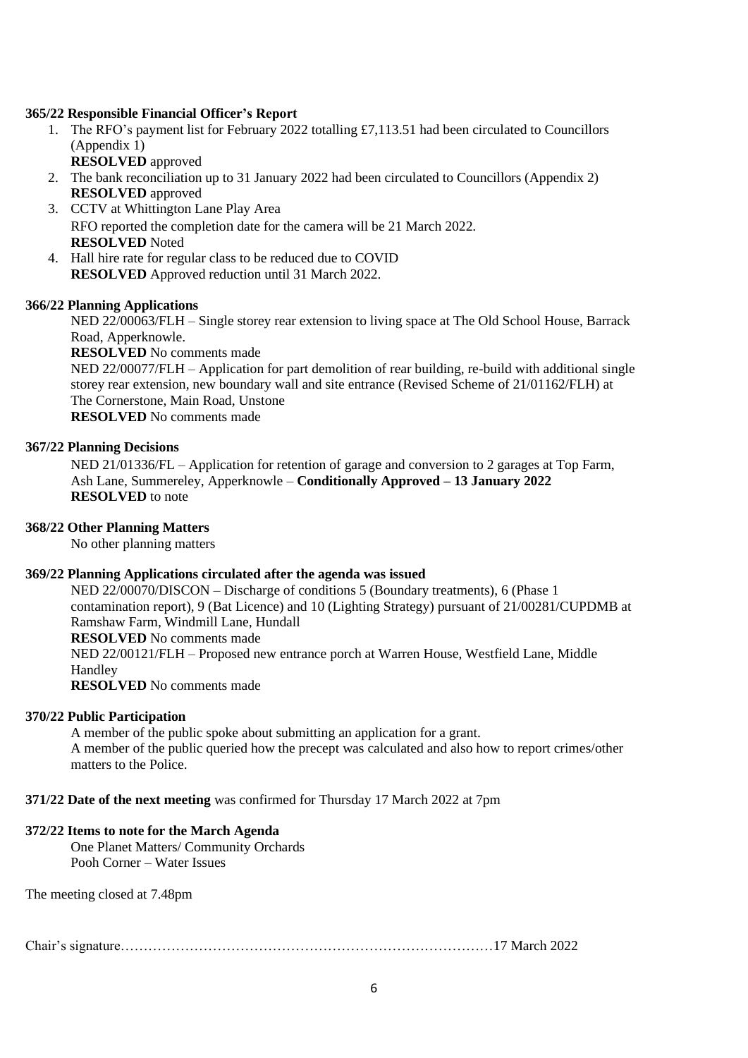#### <span id="page-5-0"></span>**365/22 Responsible Financial Officer's Report**

- 1. The RFO's payment list for February 2022 totalling £7,113.51 had been circulated to Councillors (Appendix 1)
	- **RESOLVED** approved
- 2. The bank reconciliation up to 31 January 2022 had been circulated to Councillors (Appendix 2) **RESOLVED** approved
- 3. CCTV at Whittington Lane Play Area RFO reported the completion date for the camera will be 21 March 2022. **RESOLVED** Noted
- 4. Hall hire rate for regular class to be reduced due to COVID **RESOLVED** Approved reduction until 31 March 2022.

#### <span id="page-5-1"></span>**366/22 Planning Applications**

NED 22/00063/FLH – Single storey rear extension to living space at The Old School House, Barrack Road, Apperknowle.

**RESOLVED** No comments made

NED 22/00077/FLH – Application for part demolition of rear building, re-build with additional single storey rear extension, new boundary wall and site entrance (Revised Scheme of 21/01162/FLH) at The Cornerstone, Main Road, Unstone **RESOLVED** No comments made

<span id="page-5-2"></span>**367/22 Planning Decisions**

NED 21/01336/FL – Application for retention of garage and conversion to 2 garages at Top Farm, Ash Lane, Summereley, Apperknowle – **Conditionally Approved – 13 January 2022 RESOLVED** to note

#### <span id="page-5-3"></span>**368/22 Other Planning Matters**

No other planning matters

#### <span id="page-5-4"></span>**369/22 Planning Applications circulated after the agenda was issued**

NED 22/00070/DISCON – Discharge of conditions 5 (Boundary treatments), 6 (Phase 1 contamination report), 9 (Bat Licence) and 10 (Lighting Strategy) pursuant of 21/00281/CUPDMB at Ramshaw Farm, Windmill Lane, Hundall **RESOLVED** No comments made NED 22/00121/FLH – Proposed new entrance porch at Warren House, Westfield Lane, Middle Handley **RESOLVED** No comments made

#### <span id="page-5-5"></span>**370/22 Public Participation**

A member of the public spoke about submitting an application for a grant. A member of the public queried how the precept was calculated and also how to report crimes/other matters to the Police.

<span id="page-5-6"></span>**371/22 Date of the next meeting** was confirmed for Thursday 17 March 2022 at 7pm

#### <span id="page-5-7"></span>**372/22 Items to note for the March Agenda**

One Planet Matters/ Community Orchards Pooh Corner – Water Issues

The meeting closed at 7.48pm

Chair's signature………………………………………………………………………17 March 2022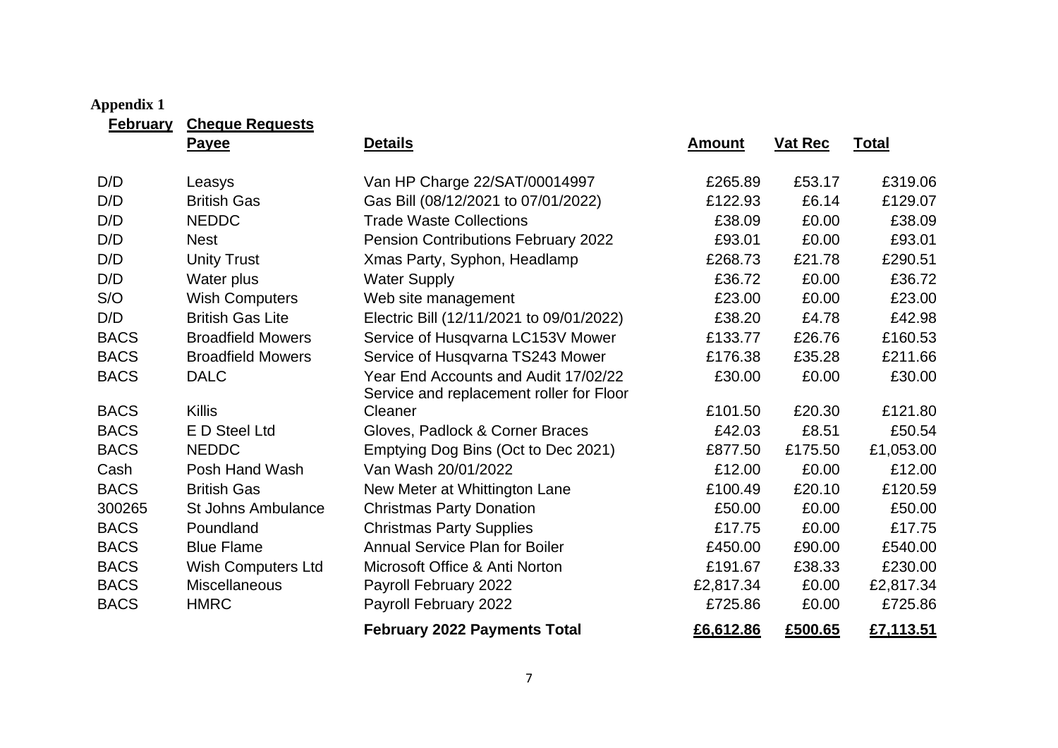# **Appendix 1**

**February Cheque Requests**

<span id="page-6-0"></span>

|             | Payee                     | <b>Details</b>                                                                   | <b>Amount</b> | <b>Vat Rec</b> | <b>Total</b> |
|-------------|---------------------------|----------------------------------------------------------------------------------|---------------|----------------|--------------|
| D/D         | Leasys                    | Van HP Charge 22/SAT/00014997                                                    | £265.89       | £53.17         | £319.06      |
| D/D         | <b>British Gas</b>        | Gas Bill (08/12/2021 to 07/01/2022)                                              | £122.93       | £6.14          | £129.07      |
| D/D         | <b>NEDDC</b>              | <b>Trade Waste Collections</b>                                                   | £38.09        | £0.00          | £38.09       |
| D/D         | <b>Nest</b>               | Pension Contributions February 2022                                              | £93.01        | £0.00          | £93.01       |
| D/D         | <b>Unity Trust</b>        | Xmas Party, Syphon, Headlamp                                                     | £268.73       | £21.78         | £290.51      |
| D/D         | Water plus                | <b>Water Supply</b>                                                              | £36.72        | £0.00          | £36.72       |
| S/O         | <b>Wish Computers</b>     | Web site management                                                              | £23.00        | £0.00          | £23.00       |
| D/D         | <b>British Gas Lite</b>   | Electric Bill (12/11/2021 to 09/01/2022)                                         | £38.20        | £4.78          | £42.98       |
| <b>BACS</b> | <b>Broadfield Mowers</b>  | Service of Husqvarna LC153V Mower                                                | £133.77       | £26.76         | £160.53      |
| <b>BACS</b> | <b>Broadfield Mowers</b>  | Service of Husqvarna TS243 Mower                                                 | £176.38       | £35.28         | £211.66      |
| <b>BACS</b> | <b>DALC</b>               | Year End Accounts and Audit 17/02/22<br>Service and replacement roller for Floor | £30.00        | £0.00          | £30.00       |
| <b>BACS</b> | <b>Killis</b>             | Cleaner                                                                          | £101.50       | £20.30         | £121.80      |
| <b>BACS</b> | E D Steel Ltd             | Gloves, Padlock & Corner Braces                                                  | £42.03        | £8.51          | £50.54       |
| <b>BACS</b> | <b>NEDDC</b>              | Emptying Dog Bins (Oct to Dec 2021)                                              | £877.50       | £175.50        | £1,053.00    |
| Cash        | Posh Hand Wash            | Van Wash 20/01/2022                                                              | £12.00        | £0.00          | £12.00       |
| <b>BACS</b> | <b>British Gas</b>        | New Meter at Whittington Lane                                                    | £100.49       | £20.10         | £120.59      |
| 300265      | <b>St Johns Ambulance</b> | <b>Christmas Party Donation</b>                                                  | £50.00        | £0.00          | £50.00       |
| <b>BACS</b> | Poundland                 | <b>Christmas Party Supplies</b>                                                  | £17.75        | £0.00          | £17.75       |
| <b>BACS</b> | <b>Blue Flame</b>         | <b>Annual Service Plan for Boiler</b>                                            | £450.00       | £90.00         | £540.00      |
| <b>BACS</b> | Wish Computers Ltd        | Microsoft Office & Anti Norton                                                   | £191.67       | £38.33         | £230.00      |
| <b>BACS</b> | Miscellaneous             | Payroll February 2022                                                            | £2,817.34     | £0.00          | £2,817.34    |
| <b>BACS</b> | <b>HMRC</b>               | Payroll February 2022                                                            | £725.86       | £0.00          | £725.86      |
|             |                           | <b>February 2022 Payments Total</b>                                              | £6,612.86     | £500.65        | £7,113.51    |